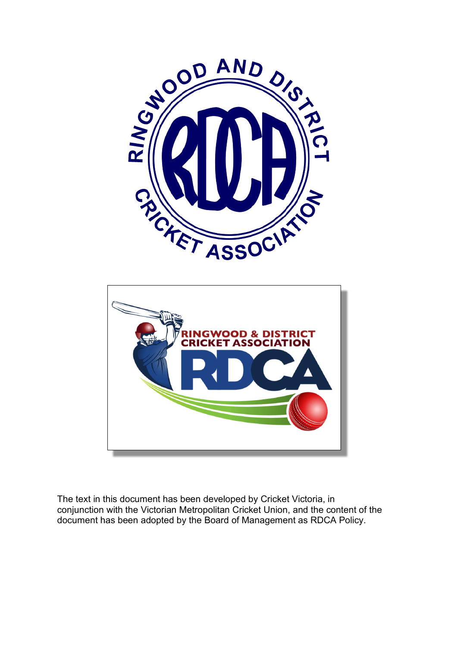



The text in this document has been developed by Cricket Victoria, in conjunction with the Victorian Metropolitan Cricket Union, and the content of the document has been adopted by the Board of Management as RDCA Policy.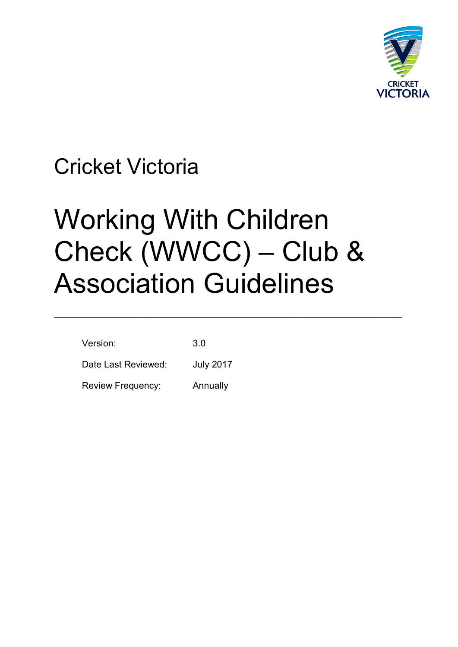

# Cricket Victoria

# Working With Children Check (WWCC) – Club & Association Guidelines

\_\_\_\_\_\_\_\_\_\_\_\_\_\_\_\_\_\_\_\_\_\_\_\_\_\_\_\_\_\_\_\_\_\_\_\_\_\_\_\_\_\_\_\_\_\_\_\_\_\_\_\_\_\_\_\_\_\_\_\_\_\_\_\_\_\_\_\_\_\_\_\_\_\_

| Version:                 | 3 O              |
|--------------------------|------------------|
| Date Last Reviewed:      | <b>July 2017</b> |
| <b>Review Frequency:</b> | Annually         |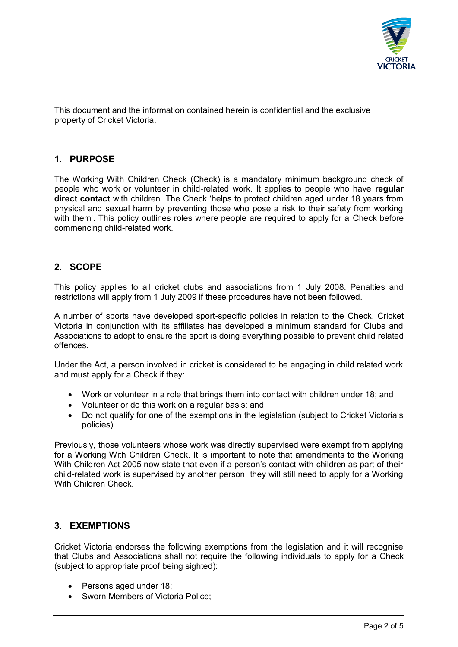

This document and the information contained herein is confidential and the exclusive property of Cricket Victoria.

#### **1. PURPOSE**

The Working With Children Check (Check) is a mandatory minimum background check of people who work or volunteer in child-related work. It applies to people who have **regular direct contact** with children. The Check 'helps to protect children aged under 18 years from physical and sexual harm by preventing those who pose a risk to their safety from working with them'. This policy outlines roles where people are required to apply for a Check before commencing child-related work.

#### **2. SCOPE**

This policy applies to all cricket clubs and associations from 1 July 2008. Penalties and restrictions will apply from 1 July 2009 if these procedures have not been followed.

A number of sports have developed sport-specific policies in relation to the Check. Cricket Victoria in conjunction with its affiliates has developed a minimum standard for Clubs and Associations to adopt to ensure the sport is doing everything possible to prevent child related offences.

Under the Act, a person involved in cricket is considered to be engaging in child related work and must apply for a Check if they:

- Work or volunteer in a role that brings them into contact with children under 18; and
- Volunteer or do this work on a regular basis; and
- Do not qualify for one of the exemptions in the legislation (subject to Cricket Victoria's policies).

Previously, those volunteers whose work was directly supervised were exempt from applying for a Working With Children Check. It is important to note that amendments to the Working With Children Act 2005 now state that even if a person's contact with children as part of their child-related work is supervised by another person, they will still need to apply for a Working With Children Check.

## **3. EXEMPTIONS**

Cricket Victoria endorses the following exemptions from the legislation and it will recognise that Clubs and Associations shall not require the following individuals to apply for a Check (subject to appropriate proof being sighted):

- Persons aged under 18:
- Sworn Members of Victoria Police;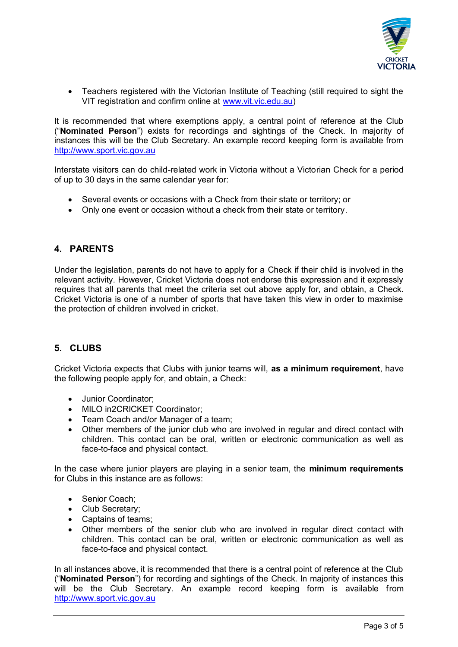

• Teachers registered with the Victorian Institute of Teaching (still required to sight the VIT registration and confirm online at [www.vit.vic.edu.au\)](http://www.vit.vic.edu.au/)

It is recommended that where exemptions apply, a central point of reference at the Club ("**Nominated Person**") exists for recordings and sightings of the Check. In majority of instances this will be the Club Secretary. An example record keeping form is available from [http://www.sport.vic.gov.au](http://www.sport.vic.gov.au/)

Interstate visitors can do child-related work in Victoria without a Victorian Check for a period of up to 30 days in the same calendar year for:

- Several events or occasions with a Check from their state or territory; or
- Only one event or occasion without a check from their state or territory.

# **4. PARENTS**

Under the legislation, parents do not have to apply for a Check if their child is involved in the relevant activity. However, Cricket Victoria does not endorse this expression and it expressly requires that all parents that meet the criteria set out above apply for, and obtain, a Check. Cricket Victoria is one of a number of sports that have taken this view in order to maximise the protection of children involved in cricket.

# **5. CLUBS**

Cricket Victoria expects that Clubs with junior teams will, **as a minimum requirement**, have the following people apply for, and obtain, a Check:

- Junior Coordinator:
- MILO in2CRICKET Coordinator:
- Team Coach and/or Manager of a team;
- Other members of the junior club who are involved in regular and direct contact with children. This contact can be oral, written or electronic communication as well as face-to-face and physical contact.

In the case where junior players are playing in a senior team, the **minimum requirements** for Clubs in this instance are as follows:

- Senior Coach;
- Club Secretary:
- Captains of teams:
- Other members of the senior club who are involved in regular direct contact with children. This contact can be oral, written or electronic communication as well as face-to-face and physical contact.

In all instances above, it is recommended that there is a central point of reference at the Club ("**Nominated Person**") for recording and sightings of the Check. In majority of instances this will be the Club Secretary. An example record keeping form is available from [http://www.sport.vic.gov.au](http://www.sport.vic.gov.au/)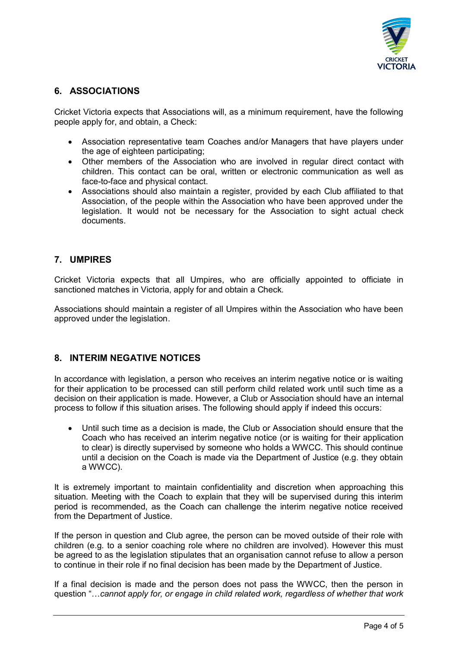

## **6. ASSOCIATIONS**

Cricket Victoria expects that Associations will, as a minimum requirement, have the following people apply for, and obtain, a Check:

- Association representative team Coaches and/or Managers that have players under the age of eighteen participating;
- Other members of the Association who are involved in regular direct contact with children. This contact can be oral, written or electronic communication as well as face-to-face and physical contact.
- Associations should also maintain a register, provided by each Club affiliated to that Association, of the people within the Association who have been approved under the legislation. It would not be necessary for the Association to sight actual check documents.

### **7. UMPIRES**

Cricket Victoria expects that all Umpires, who are officially appointed to officiate in sanctioned matches in Victoria, apply for and obtain a Check.

Associations should maintain a register of all Umpires within the Association who have been approved under the legislation.

### **8. INTERIM NEGATIVE NOTICES**

In accordance with legislation, a person who receives an interim negative notice or is waiting for their application to be processed can still perform child related work until such time as a decision on their application is made. However, a Club or Association should have an internal process to follow if this situation arises. The following should apply if indeed this occurs:

• Until such time as a decision is made, the Club or Association should ensure that the Coach who has received an interim negative notice (or is waiting for their application to clear) is directly supervised by someone who holds a WWCC. This should continue until a decision on the Coach is made via the Department of Justice (e.g. they obtain a WWCC).

It is extremely important to maintain confidentiality and discretion when approaching this situation. Meeting with the Coach to explain that they will be supervised during this interim period is recommended, as the Coach can challenge the interim negative notice received from the Department of Justice.

If the person in question and Club agree, the person can be moved outside of their role with children (e.g. to a senior coaching role where no children are involved). However this must be agreed to as the legislation stipulates that an organisation cannot refuse to allow a person to continue in their role if no final decision has been made by the Department of Justice.

If a final decision is made and the person does not pass the WWCC, then the person in question "…*cannot apply for, or engage in child related work, regardless of whether that work*